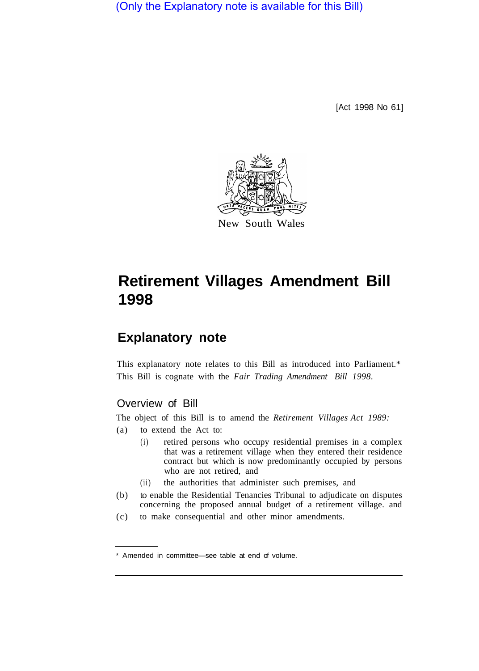(Only the Explanatory note is available for this Bill)

[Act 1998 No 61]



# **Retirement Villages Amendment Bill 1998**

## **Explanatory note**

This explanatory note relates to this Bill as introduced into Parliament.\* This Bill is cognate with the *Fair Trading Amendment Bill 1998.* 

#### Overview of Bill

The object of this Bill is to amend the *Retirement Villages Act 1989:* 

- (a) to extend the Act to:
	- (i) retired persons who occupy residential premises in a complex that was a retirement village when they entered their residence contract but which is now predominantly occupied by persons who are not retired, and
	- (ii) the authorities that administer such premises, and
- (b) to enable the Residential Tenancies Tribunal to adjudicate on disputes concerning the proposed annual budget of a retirement village. and
- (c) to make consequential and other minor amendments.

<sup>\*</sup> Amended in committee—see table at end of volume.